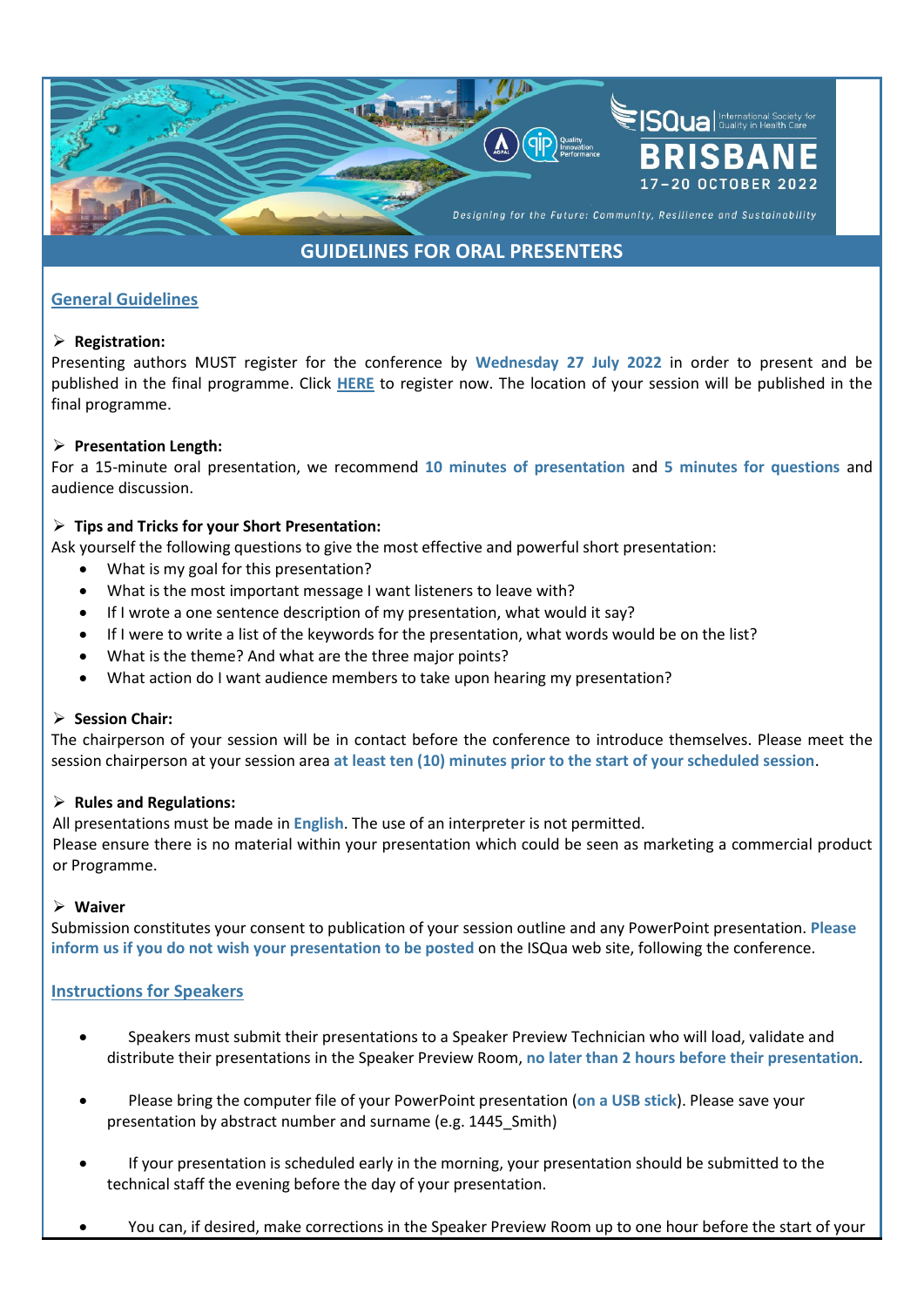

# **GUIDELINES FOR ORAL PRESENTERS**

## **General Guidelines**

## ➢ **Registration:**

Presenting authors MUST register for the conference by **Wednesday 27 July 2022** in order to present and be published in the final programme. Click **[HERE](https://b-com.mci-group.com/EventPortal/Information/ISQUA2022/WELCOME.aspxhttps:/b-com.mci-group.com/EventPortal/Information/ISQUA2022/WELCOME.aspx)** to register now. The location of your session will be published in the final programme.

## ➢ **Presentation Length:**

For a 15-minute oral presentation, we recommend **10 minutes of presentation** and **5 minutes for questions** and audience discussion.

## ➢ **Tips and Tricks for your Short Presentation:**

Ask yourself the following questions to give the most effective and powerful short presentation:

- What is my goal for this presentation?
- What is the most important message I want listeners to leave with?
- If I wrote a one sentence description of my presentation, what would it say?
- If I were to write a list of the keywords for the presentation, what words would be on the list?
- What is the theme? And what are the three major points?
- What action do I want audience members to take upon hearing my presentation?

## ➢ **Session Chair:**

The chairperson of your session will be in contact before the conference to introduce themselves. Please meet the session chairperson at your session area **at least ten (10) minutes prior to the start of your scheduled session**.

## ➢ **Rules and Regulations:**

All presentations must be made in **English**. The use of an interpreter is not permitted.

Please ensure there is no material within your presentation which could be seen as marketing a commercial product or Programme.

## ➢ **Waiver**

Submission constitutes your consent to publication of your session outline and any PowerPoint presentation. **Please inform us if you do not wish your presentation to be posted** on the ISQua web site, following the conference.

## **Instructions for Speakers**

- Speakers must submit their presentations to a Speaker Preview Technician who will load, validate and distribute their presentations in the Speaker Preview Room, **no later than 2 hours before their presentation**.
- Please bring the computer file of your PowerPoint presentation (**on a USB stick**). Please save your presentation by abstract number and surname (e.g. 1445\_Smith)
- If your presentation is scheduled early in the morning, your presentation should be submitted to the technical staff the evening before the day of your presentation.
- You can, if desired, make corrections in the Speaker Preview Room up to one hour before the start of your